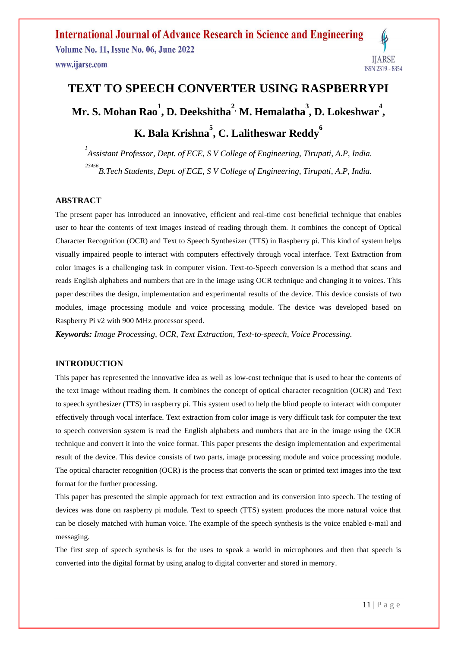# **IJARSE** ISSN 2319 - 8354

# **TEXT TO SPEECH CONVERTER USING RASPBERRYPI Mr. S. Mohan Rao<sup>1</sup> , D. Deekshitha<sup>2</sup> , M. Hemalatha<sup>3</sup> , D. Lokeshwar<sup>4</sup> , K. Bala Krishna<sup>5</sup> , C. Lalitheswar Reddy<sup>6</sup>**

*1 Assistant Professor, Dept. of ECE, S V College of Engineering, Tirupati, A.P, India. 23456 B.Tech Students, Dept. of ECE, S V College of Engineering, Tirupati, A.P, India.*

#### **ABSTRACT**

The present paper has introduced an innovative, efficient and real-time cost beneficial technique that enables user to hear the contents of text images instead of reading through them. It combines the concept of Optical Character Recognition (OCR) and Text to Speech Synthesizer (TTS) in Raspberry pi. This kind of system helps visually impaired people to interact with computers effectively through vocal interface. Text Extraction from color images is a challenging task in computer vision. Text-to-Speech conversion is a method that scans and reads English alphabets and numbers that are in the image using OCR technique and changing it to voices. This paper describes the design, implementation and experimental results of the device. This device consists of two modules, image processing module and voice processing module. The device was developed based on Raspberry Pi v2 with 900 MHz processor speed.

*Keywords: Image Processing, OCR, Text Extraction, Text-to-speech, Voice Processing.*

#### **INTRODUCTION**

This paper has represented the innovative idea as well as low-cost technique that is used to hear the contents of the text image without reading them. It combines the concept of optical character recognition (OCR) and Text to speech synthesizer (TTS) in raspberry pi. This system used to help the blind people to interact with computer effectively through vocal interface. Text extraction from color image is very difficult task for computer the text to speech conversion system is read the English alphabets and numbers that are in the image using the OCR technique and convert it into the voice format. This paper presents the design implementation and experimental result of the device. This device consists of two parts, image processing module and voice processing module. The optical character recognition (OCR) is the process that converts the scan or printed text images into the text format for the further processing.

This paper has presented the simple approach for text extraction and its conversion into speech. The testing of devices was done on raspberry pi module. Text to speech (TTS) system produces the more natural voice that can be closely matched with human voice. The example of the speech synthesis is the voice enabled e-mail and messaging.

The first step of speech synthesis is for the uses to speak a world in microphones and then that speech is converted into the digital format by using analog to digital converter and stored in memory.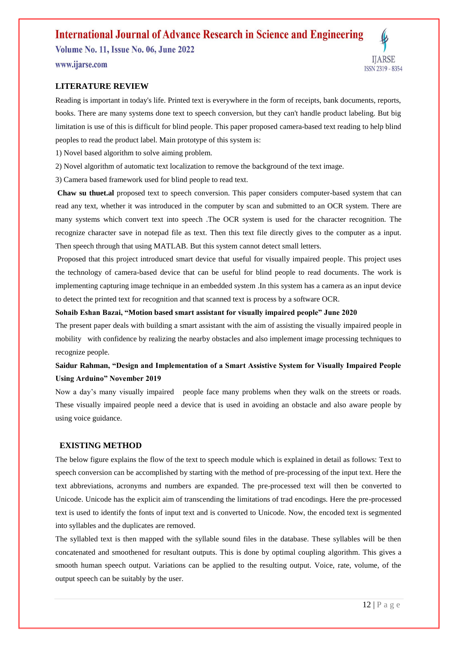**Volume No. 11, Issue No. 06, June 2022** 

www.ijarse.com

#### **LITERATURE REVIEW**

Reading is important in today's life. Printed text is everywhere in the form of receipts, bank documents, reports, books. There are many systems done text to speech conversion, but they can't handle product labeling. But big limitation is use of this is difficult for blind people. This paper proposed camera-based text reading to help blind peoples to read the product label. Main prototype of this system is:

1) Novel based algorithm to solve aiming problem.

2) Novel algorithm of automatic text localization to remove the background of the text image.

3) Camera based framework used for blind people to read text.

**Chaw su thuet.al** proposed text to speech conversion. This paper considers computer-based system that can read any text, whether it was introduced in the computer by scan and submitted to an OCR system. There are many systems which convert text into speech .The OCR system is used for the character recognition. The recognize character save in notepad file as text. Then this text file directly gives to the computer as a input. Then speech through that using MATLAB. But this system cannot detect small letters.

Proposed that this project introduced smart device that useful for visually impaired people. This project uses the technology of camera-based device that can be useful for blind people to read documents. The work is implementing capturing image technique in an embedded system .In this system has a camera as an input device to detect the printed text for recognition and that scanned text is process by a software OCR.

#### **Sohaib Eshan Bazai, "Motion based smart assistant for visually impaired people" June 2020**

The present paper deals with building a smart assistant with the aim of assisting the visually impaired people in mobility with confidence by realizing the nearby obstacles and also implement image processing techniques to recognize people.

### **Saidur Rahman, "Design and Implementation of a Smart Assistive System for Visually Impaired People Using Arduino" November 2019**

Now a day's many visually impaired people face many problems when they walk on the streets or roads. These visually impaired people need a device that is used in avoiding an obstacle and also aware people by using voice guidance.

#### **EXISTING METHOD**

The below figure explains the flow of the text to speech module which is explained in detail as follows: Text to speech conversion can be accomplished by starting with the method of pre-processing of the input text. Here the text abbreviations, acronyms and numbers are expanded. The pre-processed text will then be converted to Unicode. Unicode has the explicit aim of transcending the limitations of trad encodings. Here the pre-processed text is used to identify the fonts of input text and is converted to Unicode. Now, the encoded text is segmented into syllables and the duplicates are removed.

The syllabled text is then mapped with the syllable sound files in the database. These syllables will be then concatenated and smoothened for resultant outputs. This is done by optimal coupling algorithm. This gives a smooth human speech output. Variations can be applied to the resulting output. Voice, rate, volume, of the output speech can be suitably by the user.

**IJARSE** 

ISSN 2319 - 8354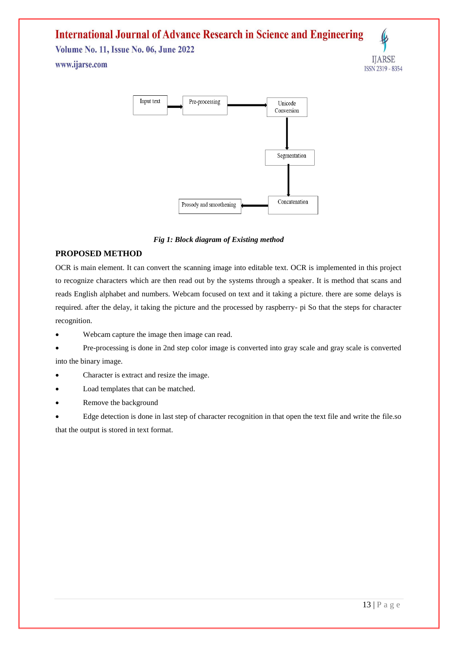**Volume No. 11, Issue No. 06, June 2022** www.ijarse.com





 *Fig 1: Block diagram of Existing method*

#### **PROPOSED METHOD**

OCR is main element. It can convert the scanning image into editable text. OCR is implemented in this project to recognize characters which are then read out by the systems through a speaker. It is method that scans and reads English alphabet and numbers. Webcam focused on text and it taking a picture. there are some delays is required. after the delay, it taking the picture and the processed by raspberry- pi So that the steps for character recognition.

- Webcam capture the image then image can read.
- Pre-processing is done in 2nd step color image is converted into gray scale and gray scale is converted into the binary image.
- Character is extract and resize the image.
- Load templates that can be matched.
- Remove the background

 Edge detection is done in last step of character recognition in that open the text file and write the file.so that the output is stored in text format.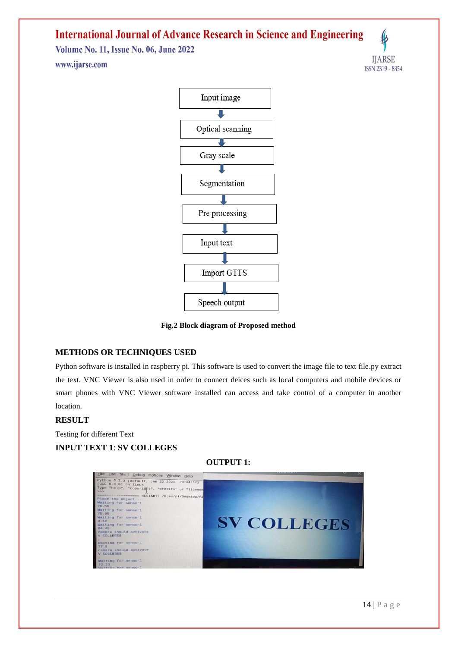**Volume No. 11, Issue No. 06, June 2022** www.ijarse.com





**Fig.2 Block diagram of Proposed method**

#### **METHODS OR TECHNIQUES USED**

Python software is installed in raspberry pi. This software is used to convert the image file to text file.py extract the text. VNC Viewer is also used in order to connect deices such as local computers and mobile devices or smart phones with VNC Viewer software installed can access and take control of a computer in another location.

#### **RESULT**

Testing for different Text **INPUT TEXT 1**: **SV COLLEGES**

**OUTPUT 1:** 

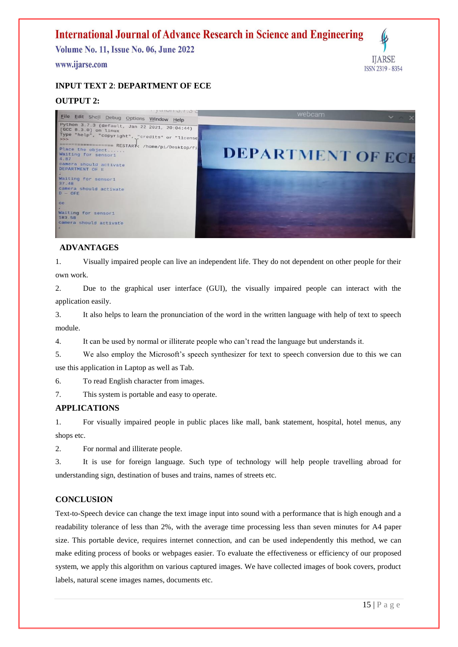**Volume No. 11, Issue No. 06, June 2022** 

#### www.ijarse.com



## **INPUT TEXT 2**: **DEPARTMENT OF ECE**

### **OUTPUT 2:**



#### **ADVANTAGES**

1. Visually impaired people can live an independent life. They do not dependent on other people for their own work.

2. Due to the graphical user interface (GUI), the visually impaired people can interact with the application easily.

3. It also helps to learn the pronunciation of the word in the written language with help of text to speech module.

4. It can be used by normal or illiterate people who can't read the language but understands it.

5. We also employ the Microsoft's speech synthesizer for text to speech conversion due to this we can use this application in Laptop as well as Tab.

6. To read English character from images.

7. This system is portable and easy to operate.

#### **APPLICATIONS**

1. For visually impaired people in public places like mall, bank statement, hospital, hotel menus, any shops etc.

2. For normal and illiterate people.

3. It is use for foreign language. Such type of technology will help people travelling abroad for understanding sign, destination of buses and trains, names of streets etc.

#### **CONCLUSION**

Text-to-Speech device can change the text image input into sound with a performance that is high enough and a readability tolerance of less than 2%, with the average time processing less than seven minutes for A4 paper size. This portable device, requires internet connection, and can be used independently this method, we can make editing process of books or webpages easier. To evaluate the effectiveness or efficiency of our proposed system, we apply this algorithm on various captured images. We have collected images of book covers, product labels, natural scene images names, documents etc.